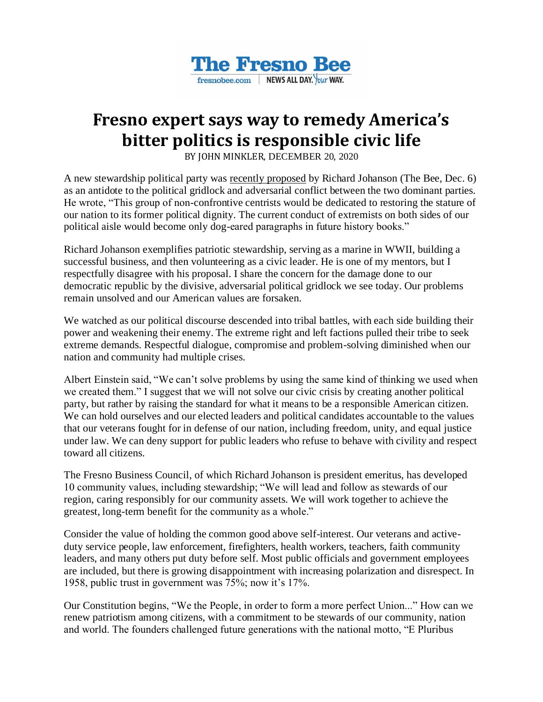

## **Fresno expert says way to remedy America's bitter politics is responsible civic life**

BY JOHN MINKLER, DECEMBER 20, 2020

A new stewardship political party was [recently proposed](https://www.fresnobee.com/opinion/readers-opinion/article247594545.html) by Richard Johanson (The Bee, Dec. 6) as an antidote to the political gridlock and adversarial conflict between the two dominant parties. He wrote, "This group of non-confrontive centrists would be dedicated to restoring the stature of our nation to its former political dignity. The current conduct of extremists on both sides of our political aisle would become only dog-eared paragraphs in future history books."

Richard Johanson exemplifies patriotic stewardship, serving as a marine in WWII, building a successful business, and then volunteering as a civic leader. He is one of my mentors, but I respectfully disagree with his proposal. I share the concern for the damage done to our democratic republic by the divisive, adversarial political gridlock we see today. Our problems remain unsolved and our American values are forsaken.

We watched as our political discourse descended into tribal battles, with each side building their power and weakening their enemy. The extreme right and left factions pulled their tribe to seek extreme demands. Respectful dialogue, compromise and problem-solving diminished when our nation and community had multiple crises.

Albert Einstein said, "We can't solve problems by using the same kind of thinking we used when we created them." I suggest that we will not solve our civic crisis by creating another political party, but rather by raising the standard for what it means to be a responsible American citizen. We can hold ourselves and our elected leaders and political candidates accountable to the values that our veterans fought for in defense of our nation, including freedom, unity, and equal justice under law. We can deny support for public leaders who refuse to behave with civility and respect toward all citizens.

The Fresno Business Council, of which Richard Johanson is president emeritus, has developed 10 community values, including stewardship; "We will lead and follow as stewards of our region, caring responsibly for our community assets. We will work together to achieve the greatest, long-term benefit for the community as a whole."

Consider the value of holding the common good above self-interest. Our veterans and activeduty service people, law enforcement, firefighters, health workers, teachers, faith community leaders, and many others put duty before self. Most public officials and government employees are included, but there is growing disappointment with increasing polarization and disrespect. In 1958, public trust in government was 75%; now it's 17%.

Our Constitution begins, "We the People, in order to form a more perfect Union..." How can we renew patriotism among citizens, with a commitment to be stewards of our community, nation and world. The founders challenged future generations with the national motto, "E Pluribus